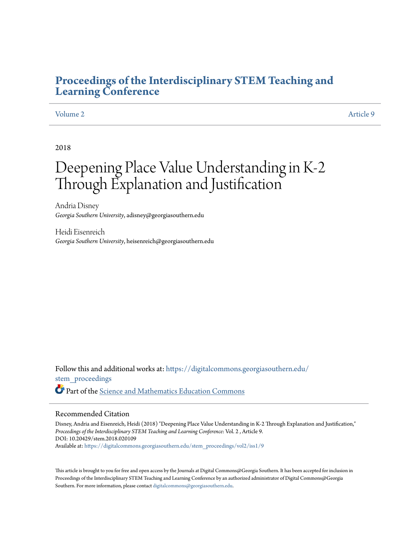# **[Proceedings of the Interdisciplinary STEM Teaching and](https://digitalcommons.georgiasouthern.edu/stem_proceedings?utm_source=digitalcommons.georgiasouthern.edu%2Fstem_proceedings%2Fvol2%2Fiss1%2F9&utm_medium=PDF&utm_campaign=PDFCoverPages) [Learning Conference](https://digitalcommons.georgiasouthern.edu/stem_proceedings?utm_source=digitalcommons.georgiasouthern.edu%2Fstem_proceedings%2Fvol2%2Fiss1%2F9&utm_medium=PDF&utm_campaign=PDFCoverPages)**

### [Volume 2](https://digitalcommons.georgiasouthern.edu/stem_proceedings/vol2?utm_source=digitalcommons.georgiasouthern.edu%2Fstem_proceedings%2Fvol2%2Fiss1%2F9&utm_medium=PDF&utm_campaign=PDFCoverPages) [Article 9](https://digitalcommons.georgiasouthern.edu/stem_proceedings/vol2/iss1/9?utm_source=digitalcommons.georgiasouthern.edu%2Fstem_proceedings%2Fvol2%2Fiss1%2F9&utm_medium=PDF&utm_campaign=PDFCoverPages)

2018

# Deepening Place Value Understanding in K-2 Through Explanation and Justification

Andria Disney *Georgia Southern University*, adisney@georgiasouthern.edu

Heidi Eisenreich *Georgia Southern University*, heisenreich@georgiasouthern.edu

Follow this and additional works at: [https://digitalcommons.georgiasouthern.edu/](https://digitalcommons.georgiasouthern.edu/stem_proceedings?utm_source=digitalcommons.georgiasouthern.edu%2Fstem_proceedings%2Fvol2%2Fiss1%2F9&utm_medium=PDF&utm_campaign=PDFCoverPages) [stem\\_proceedings](https://digitalcommons.georgiasouthern.edu/stem_proceedings?utm_source=digitalcommons.georgiasouthern.edu%2Fstem_proceedings%2Fvol2%2Fiss1%2F9&utm_medium=PDF&utm_campaign=PDFCoverPages) Part of the [Science and Mathematics Education Commons](http://network.bepress.com/hgg/discipline/800?utm_source=digitalcommons.georgiasouthern.edu%2Fstem_proceedings%2Fvol2%2Fiss1%2F9&utm_medium=PDF&utm_campaign=PDFCoverPages)

#### Recommended Citation

Disney, Andria and Eisenreich, Heidi (2018) "Deepening Place Value Understanding in K-2 Through Explanation and Justification," *Proceedings of the Interdisciplinary STEM Teaching and Learning Conference*: Vol. 2 , Article 9. DOI: 10.20429/stem.2018.020109 Available at: [https://digitalcommons.georgiasouthern.edu/stem\\_proceedings/vol2/iss1/9](https://digitalcommons.georgiasouthern.edu/stem_proceedings/vol2/iss1/9?utm_source=digitalcommons.georgiasouthern.edu%2Fstem_proceedings%2Fvol2%2Fiss1%2F9&utm_medium=PDF&utm_campaign=PDFCoverPages)

This article is brought to you for free and open access by the Journals at Digital Commons@Georgia Southern. It has been accepted for inclusion in Proceedings of the Interdisciplinary STEM Teaching and Learning Conference by an authorized administrator of Digital Commons@Georgia Southern. For more information, please contact [digitalcommons@georgiasouthern.edu.](mailto:digitalcommons@georgiasouthern.edu)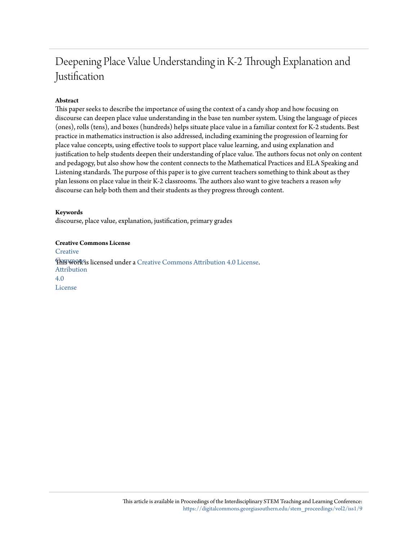# Deepening Place Value Understanding in K-2 Through Explanation and Justification

## **Abstract**

This paper seeks to describe the importance of using the context of a candy shop and how focusing on discourse can deepen place value understanding in the base ten number system. Using the language of pieces (ones), rolls (tens), and boxes (hundreds) helps situate place value in a familiar context for K-2 students. Best practice in mathematics instruction is also addressed, including examining the progression of learning for place value concepts, using effective tools to support place value learning, and using explanation and justification to help students deepen their understanding of place value. The authors focus not only on content and pedagogy, but also show how the content connects to the Mathematical Practices and ELA Speaking and Listening standards. The purpose of this paper is to give current teachers something to think about as they plan lessons on place value in their K-2 classrooms. The authors also want to give teachers a reason *why* discourse can help both them and their students as they progress through content.

### **Keywords**

discourse, place value, explanation, justification, primary grades

**Creative Commons License [Creative](http://creativecommons.org/licenses/by/4.0/) This work is licensed under a** [Creative Commons Attribution 4.0 License.](http://creativecommons.org/licenses/by/4.0/) Attribution 4.0 License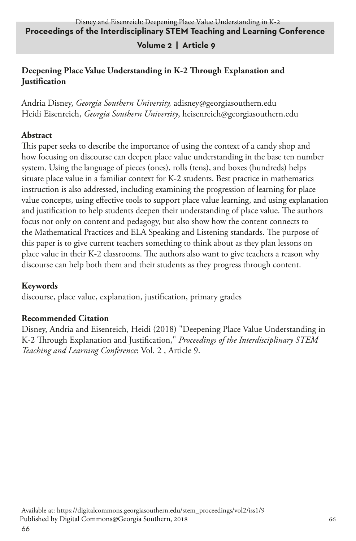### **Volume 2 | Article 9**

### **Deepening Place Value Understanding in K-2 Through Explanation and Justification**

Andria Disney, *Georgia Southern University,* adisney@georgiasouthern.edu Heidi Eisenreich, *Georgia Southern University*, heisenreich@georgiasouthern.edu

#### **Abstract**

This paper seeks to describe the importance of using the context of a candy shop and how focusing on discourse can deepen place value understanding in the base ten number system. Using the language of pieces (ones), rolls (tens), and boxes (hundreds) helps situate place value in a familiar context for K-2 students. Best practice in mathematics instruction is also addressed, including examining the progression of learning for place value concepts, using effective tools to support place value learning, and using explanation and justification to help students deepen their understanding of place value. The authors focus not only on content and pedagogy, but also show how the content connects to the Mathematical Practices and ELA Speaking and Listening standards. The purpose of this paper is to give current teachers something to think about as they plan lessons on place value in their K-2 classrooms. The authors also want to give teachers a reason why discourse can help both them and their students as they progress through content.

#### **Keywords**

discourse, place value, explanation, justification, primary grades

## **Recommended Citation**

Disney, Andria and Eisenreich, Heidi (2018) "Deepening Place Value Understanding in K-2 Through Explanation and Justification," *Proceedings of the Interdisciplinary STEM Teaching and Learning Conference*: Vol. 2 , Article 9.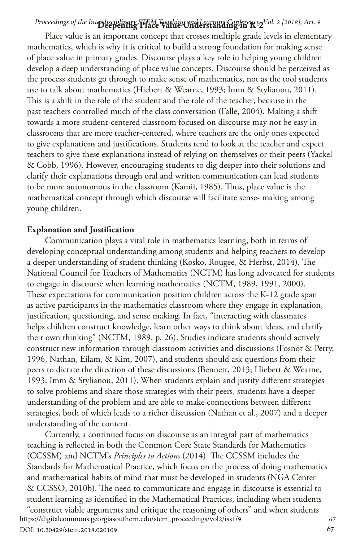# Proceedings of the Interdisciplinary STEM Teaching and Learning Conference, Vol. 2 [2018], Art. 9

Place value is an important concept that crosses multiple grade levels in elementary mathematics, which is why it is critical to build a strong foundation for making sense of place value in primary grades. Discourse plays a key role in helping young children develop a deep understanding of place value concepts. Discourse should be perceived as the process students go through to make sense of mathematics, not as the tool students use to talk about mathematics (Hiebert & Wearne, 1993; Imm & Stylianou, 2011). This is a shift in the role of the student and the role of the teacher, because in the past teachers controlled much of the class conversation (Falle, 2004). Making a shift towards a more student-centered classroom focused on discourse may not be easy in classrooms that are more teacher-centered, where teachers are the only ones expected to give explanations and justifications. Students tend to look at the teacher and expect teachers to give these explanations instead of relying on themselves or their peers (Yackel & Cobb, 1996). However, encouraging students to dig deeper into their solutions and clarify their explanations through oral and written communication can lead students to be more autonomous in the classroom (Kamii, 1985). Thus, place value is the mathematical concept through which discourse will facilitate sense- making among young children.

#### **Explanation and Justification**

Communication plays a vital role in mathematics learning, both in terms of developing conceptual understanding among students and helping teachers to develop a deeper understanding of student thinking (Kosko, Rougee, & Herbst, 2014). The National Council for Teachers of Mathematics (NCTM) has long advocated for students to engage in discourse when learning mathematics (NCTM, 1989, 1991, 2000). These expectations for communication position children across the K-12 grade span as active participants in the mathematics classroom where they engage in explanation, justification, questioning, and sense making. In fact, "interacting with classmates helps children construct knowledge, learn other ways to think about ideas, and clarify their own thinking" (NCTM, 1989, p. 26). Studies indicate students should actively construct new information through classroom activities and discussions (Fosnot & Perry, 1996, Nathan, Eilam, & Kim, 2007), and students should ask questions from their peers to dictate the direction of these discussions (Bennett, 2013; Hiebert & Wearne, 1993; Imm & Stylianou, 2011). When students explain and justify different strategies to solve problems and share those strategies with their peers, students have a deeper understanding of the problem and are able to make connections between different strategies, both of which leads to a richer discussion (Nathan et al., 2007) and a deeper understanding of the content.

Currently, a continued focus on discourse as an integral part of mathematics teaching is reflected in both the Common Core State Standards for Mathematics (CCSSM) and NCTM's *Principles to Actions* (2014). The CCSSM includes the Standards for Mathematical Practice, which focus on the process of doing mathematics and mathematical habits of mind that must be developed in students (NGA Center & CCSSO, 2010b). The need to communicate and engage in discourse is essential to student learning as identified in the Mathematical Practices, including when students "construct viable arguments and critique the reasoning of others" and when students <sup>67</sup> https://digitalcommons.georgiasouthern.edu/stem\_proceedings/vol2/iss1/9

DOI: 10.20429/stem.2018.020109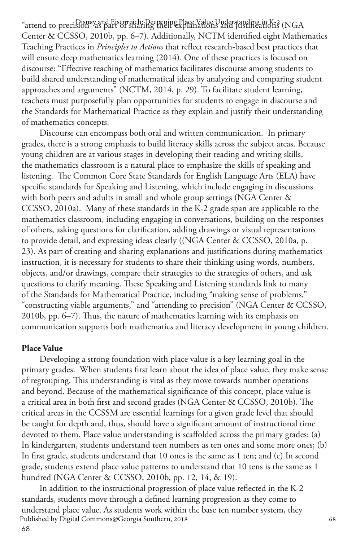"attend to precision" as part of sharing their explanations and justifications (NGA Center & CCSSO, 2010b, pp. 6–7). Additionally, NCTM identified eight Mathematics Teaching Practices in *Principles to Actions* that reflect research-based best practices that will ensure deep mathematics learning (2014). One of these practices is focused on discourse: "Effective teaching of mathematics facilitates discourse among students to build shared understanding of mathematical ideas by analyzing and comparing student approaches and arguments" (NCTM, 2014, p. 29). To facilitate student learning, teachers must purposefully plan opportunities for students to engage in discourse and the Standards for Mathematical Practice as they explain and justify their understanding of mathematics concepts.

Discourse can encompass both oral and written communication. In primary grades, there is a strong emphasis to build literacy skills across the subject areas. Because young children are at various stages in developing their reading and writing skills, the mathematics classroom is a natural place to emphasize the skills of speaking and listening. The Common Core State Standards for English Language Arts (ELA) have specific standards for Speaking and Listening, which include engaging in discussions with both peers and adults in small and whole group settings (NGA Center & CCSSO, 2010a). Many of these standards in the K-2 grade span are applicable to the mathematics classroom, including engaging in conversations, building on the responses of others, asking questions for clarification, adding drawings or visual representations to provide detail, and expressing ideas clearly ((NGA Center & CCSSO, 2010a, p. 23). As part of creating and sharing explanations and justifications during mathematics instruction, it is necessary for students to share their thinking using words, numbers, objects, and/or drawings, compare their strategies to the strategies of others, and ask questions to clarify meaning. These Speaking and Listening standards link to many of the Standards for Mathematical Practice, including "making sense of problems," "constructing viable arguments," and "attending to precision" (NGA Center & CCSSO, 2010b, pp. 6–7). Thus, the nature of mathematics learning with its emphasis on communication supports both mathematics and literacy development in young children.

#### **Place Value**

Developing a strong foundation with place value is a key learning goal in the primary grades. When students first learn about the idea of place value, they make sense of regrouping. This understanding is vital as they move towards number operations and beyond. Because of the mathematical significance of this concept, place value is a critical area in both first and second grades (NGA Center & CCSSO, 2010b). The critical areas in the CCSSM are essential learnings for a given grade level that should be taught for depth and, thus, should have a significant amount of instructional time devoted to them. Place value understanding is scaffolded across the primary grades: (a) In kindergarten, students understand teen numbers as ten ones and some more ones; (b) In first grade, students understand that 10 ones is the same as 1 ten; and (c) In second grade, students extend place value patterns to understand that 10 tens is the same as 1 hundred (NGA Center & CCSSO, 2010b, pp. 12, 14, & 19).

In addition to the instructional progression of place value reflected in the K-2 standards, students move through a defined learning progression as they come to understand place value. As students work within the base ten number system, they<br>Published by Digital Commons@Georgia Southern, 2018 Published by Digital Commons@Georgia Southern, 2018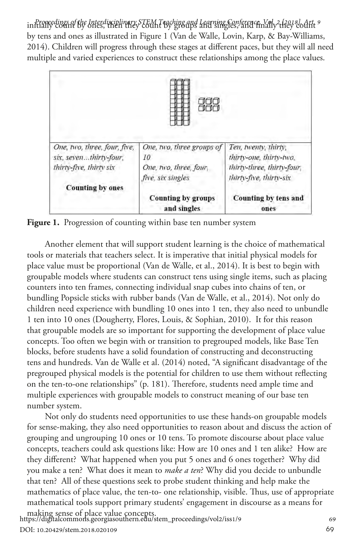initially count by ones, then they count by groups and singles, and finally they count *Proceedings of the Interdisciplinary STEM Teaching and Learning Conference, Vol. 2 [2018], Art. 9* by tens and ones as illustrated in Figure 1 (Van de Walle, Lovin, Karp, & Bay-Williams, 2014). Children will progress through these stages at different paces, but they will all need multiple and varied experiences to construct these relationships among the place values.



**Figure 1.** Progression of counting within base ten number system

Another element that will support student learning is the choice of mathematical tools or materials that teachers select. It is imperative that initial physical models for place value must be proportional (Van de Walle, et al., 2014). It is best to begin with groupable models where students can construct tens using single items, such as placing counters into ten frames, connecting individual snap cubes into chains of ten, or bundling Popsicle sticks with rubber bands (Van de Walle, et al., 2014). Not only do children need experience with bundling 10 ones into 1 ten, they also need to unbundle 1 ten into 10 ones (Dougherty, Flores, Louis, & Sophian, 2010). It for this reason that groupable models are so important for supporting the development of place value concepts. Too often we begin with or transition to pregrouped models, like Base Ten blocks, before students have a solid foundation of constructing and deconstructing tens and hundreds. Van de Walle et al. (2014) noted, "A significant disadvantage of the pregrouped physical models is the potential for children to use them without reflecting on the ten-to-one relationships" (p. 181). Therefore, students need ample time and multiple experiences with groupable models to construct meaning of our base ten number system.

Not only do students need opportunities to use these hands-on groupable models for sense-making, they also need opportunities to reason about and discuss the action of grouping and ungrouping 10 ones or 10 tens. To promote discourse about place value concepts, teachers could ask questions like: How are 10 ones and 1 ten alike? How are they different? What happened when you put 5 ones and 6 ones together? Why did you make a ten? What does it mean to *make a ten*? Why did you decide to unbundle that ten? All of these questions seek to probe student thinking and help make the mathematics of place value, the ten-to- one relationship, visible. Thus, use of appropriate mathematical tools support primary students' engagement in discourse as a means for making sense of place value concepts. <sup>69</sup> https://digitalcommons.georgiasouthern.edu/stem\_proceedings/vol2/iss1/9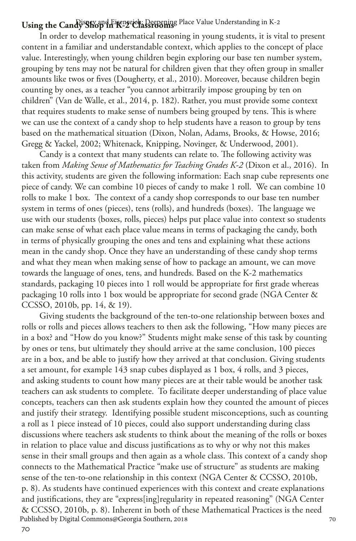# Using the Candy Shop in K-2 Classrooms Place Value Understanding in K-2

In order to develop mathematical reasoning in young students, it is vital to present content in a familiar and understandable context, which applies to the concept of place value. Interestingly, when young children begin exploring our base ten number system, grouping by tens may not be natural for children given that they often group in smaller amounts like twos or fives (Dougherty, et al., 2010). Moreover, because children begin counting by ones, as a teacher "you cannot arbitrarily impose grouping by ten on children" (Van de Walle, et al., 2014, p. 182). Rather, you must provide some context that requires students to make sense of numbers being grouped by tens. This is where we can use the context of a candy shop to help students have a reason to group by tens based on the mathematical situation (Dixon, Nolan, Adams, Brooks, & Howse, 2016; Gregg & Yackel, 2002; Whitenack, Knipping, Novinger, & Underwood, 2001).

Candy is a context that many students can relate to. The following activity was taken from *Making Sense of Mathematics for Teaching Grades K-2* (Dixon et al., 2016). In this activity, students are given the following information: Each snap cube represents one piece of candy. We can combine 10 pieces of candy to make 1 roll. We can combine 10 rolls to make 1 box. The context of a candy shop corresponds to our base ten number system in terms of ones (pieces), tens (rolls), and hundreds (boxes). The language we use with our students (boxes, rolls, pieces) helps put place value into context so students can make sense of what each place value means in terms of packaging the candy, both in terms of physically grouping the ones and tens and explaining what these actions mean in the candy shop. Once they have an understanding of these candy shop terms and what they mean when making sense of how to package an amount, we can move towards the language of ones, tens, and hundreds. Based on the K-2 mathematics standards, packaging 10 pieces into 1 roll would be appropriate for first grade whereas packaging 10 rolls into 1 box would be appropriate for second grade (NGA Center & CCSSO, 2010b, pp. 14, & 19).

Giving students the background of the ten-to-one relationship between boxes and rolls or rolls and pieces allows teachers to then ask the following, "How many pieces are in a box? and "How do you know?" Students might make sense of this task by counting by ones or tens, but ultimately they should arrive at the same conclusion, 100 pieces are in a box, and be able to justify how they arrived at that conclusion. Giving students a set amount, for example 143 snap cubes displayed as 1 box, 4 rolls, and 3 pieces, and asking students to count how many pieces are at their table would be another task teachers can ask students to complete. To facilitate deeper understanding of place value concepts, teachers can then ask students explain how they counted the amount of pieces and justify their strategy. Identifying possible student misconceptions, such as counting a roll as 1 piece instead of 10 pieces, could also support understanding during class discussions where teachers ask students to think about the meaning of the rolls or boxes in relation to place value and discuss justifications as to why or why not this makes sense in their small groups and then again as a whole class. This context of a candy shop connects to the Mathematical Practice "make use of structure" as students are making sense of the ten-to-one relationship in this context (NGA Center & CCSSO, 2010b, p. 8). As students have continued experiences with this context and create explanations and justifications, they are "express[ing]regularity in repeated reasoning" (NGA Center & CCSSO, 2010b, p. 8). Inherent in both of these Mathematical Practices is the need <sup>70</sup> Published by Digital Commons@Georgia Southern, 2018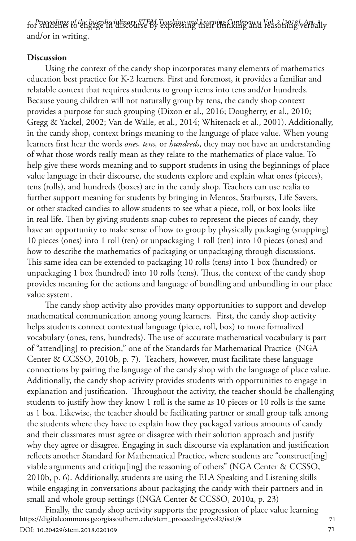for students to engage in discourse by expressing their thinking and reasoning verbally *Proceedings of the Interdisciplinary STEM Teaching and Learning Conference, Vol. 2 [2018], Art. 9* and/or in writing.

#### **Discussion**

Using the context of the candy shop incorporates many elements of mathematics education best practice for K-2 learners. First and foremost, it provides a familiar and relatable context that requires students to group items into tens and/or hundreds. Because young children will not naturally group by tens, the candy shop context provides a purpose for such grouping (Dixon et al., 2016; Dougherty, et al., 2010; Gregg & Yackel, 2002; Van de Walle, et al., 2014; Whitenack et al., 2001). Additionally, in the candy shop, context brings meaning to the language of place value. When young learners first hear the words *ones, tens,* or *hundreds*, they may not have an understanding of what those words really mean as they relate to the mathematics of place value. To help give these words meaning and to support students in using the beginnings of place value language in their discourse, the students explore and explain what ones (pieces), tens (rolls), and hundreds (boxes) are in the candy shop. Teachers can use realia to further support meaning for students by bringing in Mentos, Starbursts, Life Savers, or other stacked candies to allow students to see what a piece, roll, or box looks like in real life. Then by giving students snap cubes to represent the pieces of candy, they have an opportunity to make sense of how to group by physically packaging (snapping) 10 pieces (ones) into 1 roll (ten) or unpackaging 1 roll (ten) into 10 pieces (ones) and how to describe the mathematics of packaging or unpackaging through discussions. This same idea can be extended to packaging 10 rolls (tens) into 1 box (hundred) or unpackaging 1 box (hundred) into 10 rolls (tens). Thus, the context of the candy shop provides meaning for the actions and language of bundling and unbundling in our place value system.

The candy shop activity also provides many opportunities to support and develop mathematical communication among young learners. First, the candy shop activity helps students connect contextual language (piece, roll, box) to more formalized vocabulary (ones, tens, hundreds). The use of accurate mathematical vocabulary is part of "attend[ing] to precision," one of the Standards for Mathematical Practice (NGA Center & CCSSO, 2010b, p. 7). Teachers, however, must facilitate these language connections by pairing the language of the candy shop with the language of place value. Additionally, the candy shop activity provides students with opportunities to engage in explanation and justification. Throughout the activity, the teacher should be challenging students to justify how they know 1 roll is the same as 10 pieces or 10 rolls is the same as 1 box. Likewise, the teacher should be facilitating partner or small group talk among the students where they have to explain how they packaged various amounts of candy and their classmates must agree or disagree with their solution approach and justify why they agree or disagree. Engaging in such discourse via explanation and justification reflects another Standard for Mathematical Practice, where students are "construct[ing] viable arguments and critiqu[ing] the reasoning of others" (NGA Center & CCSSO, 2010b, p. 6). Additionally, students are using the ELA Speaking and Listening skills while engaging in conversations about packaging the candy with their partners and in small and whole group settings ((NGA Center & CCSSO, 2010a, p. 23)

Finally, the candy shop activity supports the progression of place value learning <sup>71</sup> https://digitalcommons.georgiasouthern.edu/stem\_proceedings/vol2/iss1/9 DOI: 10.20429/stem.2018.020109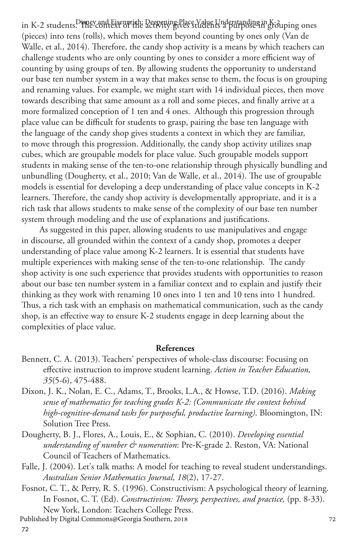in K-2 students. Disney and Eisenreich: Deepening Place Value Understanding in K-3 uping ones (pieces) into tens (rolls), which moves them beyond counting by ones only (Van de Walle, et al., 2014). Therefore, the candy shop activity is a means by which teachers can challenge students who are only counting by ones to consider a more efficient way of counting by using groups of ten. By allowing students the opportunity to understand our base ten number system in a way that makes sense to them, the focus is on grouping and renaming values. For example, we might start with 14 individual pieces, then move towards describing that same amount as a roll and some pieces, and finally arrive at a more formalized conception of 1 ten and 4 ones. Although this progression through place value can be difficult for students to grasp, pairing the base ten language with the language of the candy shop gives students a context in which they are familiar, to move through this progression. Additionally, the candy shop activity utilizes snap cubes, which are groupable models for place value. Such groupable models support students in making sense of the ten-to-one relationship through physically bundling and unbundling (Dougherty, et al., 2010; Van de Walle, et al., 2014). The use of groupable models is essential for developing a deep understanding of place value concepts in K-2 learners. Therefore, the candy shop activity is developmentally appropriate, and it is a rich task that allows students to make sense of the complexity of our base ten number system through modeling and the use of explanations and justifications.

As suggested in this paper, allowing students to use manipulatives and engage in discourse, all grounded within the context of a candy shop, promotes a deeper understanding of place value among K-2 learners. It is essential that students have multiple experiences with making sense of the ten-to-one relationship. The candy shop activity is one such experience that provides students with opportunities to reason about our base ten number system in a familiar context and to explain and justify their thinking as they work with renaming 10 ones into 1 ten and 10 tens into 1 hundred. Thus, a rich task with an emphasis on mathematical communication, such as the candy shop, is an effective way to ensure K-2 students engage in deep learning about the complexities of place value.

#### **References**

- Bennett, C. A. (2013). Teachers' perspectives of whole-class discourse: Focusing on effective instruction to improve student learning. *Action in Teacher Education, 35*(5-6), 475-488.
- Dixon, J. K., Nolan, E. C., Adams, T., Brooks, L.A., & Howse, T.D. (2016). *Making sense of mathematics for teaching grades K-2: (Communicate the context behind high-cognitive-demand tasks for purposeful, productive learning)*. Bloomington, IN: Solution Tree Press.
- Dougherty, B. J., Flores, A., Louis, E., & Sophian, C. (2010). *Developing essential understanding of number & numeration*: Pre-K-grade 2. Reston, VA: National Council of Teachers of Mathematics.
- Falle, J. (2004). Let's talk maths: A model for teaching to reveal student understandings. *Australian Senior Mathematics Journal, 18*(2), 17-27.
- Fosnot, C. T., & Perry, R. S. (1996). Constructivism: A psychological theory of learning. In Fosnot, C. T. (Ed). *Constructivism: Theory, perspectives, and practice*, (pp. 8-33). New York, London: Teachers College Press. <sup>72</sup>
- Published by Digital Commons@Georgia Southern, 2018